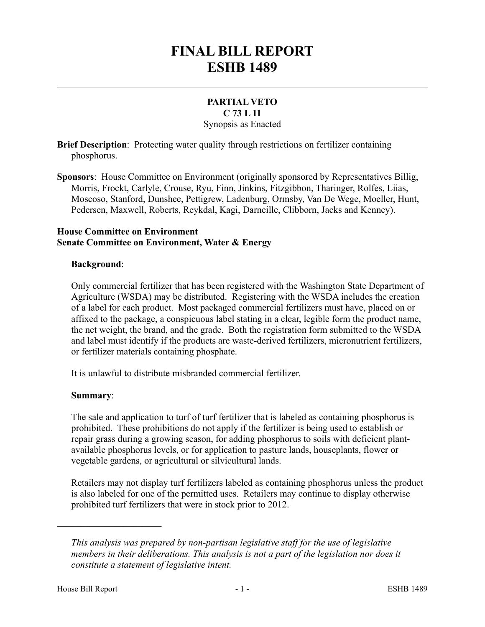# **FINAL BILL REPORT ESHB 1489**

# **PARTIAL VETO C 73 L 11**

Synopsis as Enacted

**Brief Description**: Protecting water quality through restrictions on fertilizer containing phosphorus.

**Sponsors**: House Committee on Environment (originally sponsored by Representatives Billig, Morris, Frockt, Carlyle, Crouse, Ryu, Finn, Jinkins, Fitzgibbon, Tharinger, Rolfes, Liias, Moscoso, Stanford, Dunshee, Pettigrew, Ladenburg, Ormsby, Van De Wege, Moeller, Hunt, Pedersen, Maxwell, Roberts, Reykdal, Kagi, Darneille, Clibborn, Jacks and Kenney).

#### **House Committee on Environment Senate Committee on Environment, Water & Energy**

#### **Background**:

Only commercial fertilizer that has been registered with the Washington State Department of Agriculture (WSDA) may be distributed. Registering with the WSDA includes the creation of a label for each product. Most packaged commercial fertilizers must have, placed on or affixed to the package, a conspicuous label stating in a clear, legible form the product name, the net weight, the brand, and the grade. Both the registration form submitted to the WSDA and label must identify if the products are waste-derived fertilizers, micronutrient fertilizers, or fertilizer materials containing phosphate.

It is unlawful to distribute misbranded commercial fertilizer.

## **Summary**:

The sale and application to turf of turf fertilizer that is labeled as containing phosphorus is prohibited. These prohibitions do not apply if the fertilizer is being used to establish or repair grass during a growing season, for adding phosphorus to soils with deficient plantavailable phosphorus levels, or for application to pasture lands, houseplants, flower or vegetable gardens, or agricultural or silvicultural lands.

Retailers may not display turf fertilizers labeled as containing phosphorus unless the product is also labeled for one of the permitted uses. Retailers may continue to display otherwise prohibited turf fertilizers that were in stock prior to 2012.

––––––––––––––––––––––

*This analysis was prepared by non-partisan legislative staff for the use of legislative members in their deliberations. This analysis is not a part of the legislation nor does it constitute a statement of legislative intent.*